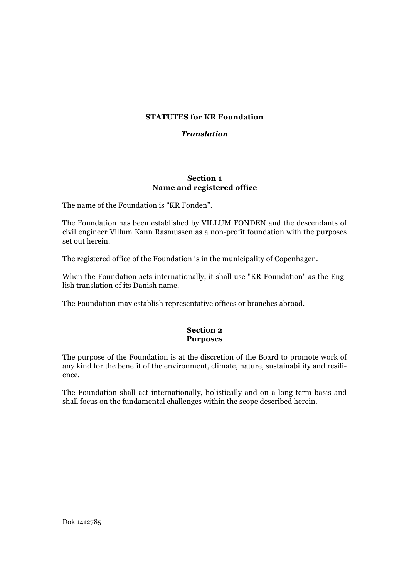# **STATUTES for KR Foundation**

#### *Translation*

#### **Section 1 Name and registered office**

The name of the Foundation is "KR Fonden".

The Foundation has been established by VILLUM FONDEN and the descendants of civil engineer Villum Kann Rasmussen as a non-profit foundation with the purposes set out herein.

The registered office of the Foundation is in the municipality of Copenhagen.

When the Foundation acts internationally, it shall use "KR Foundation" as the English translation of its Danish name.

The Foundation may establish representative offices or branches abroad.

#### **Section 2 Purposes**

The purpose of the Foundation is at the discretion of the Board to promote work of any kind for the benefit of the environment, climate, nature, sustainability and resilience.

The Foundation shall act internationally, holistically and on a long-term basis and shall focus on the fundamental challenges within the scope described herein.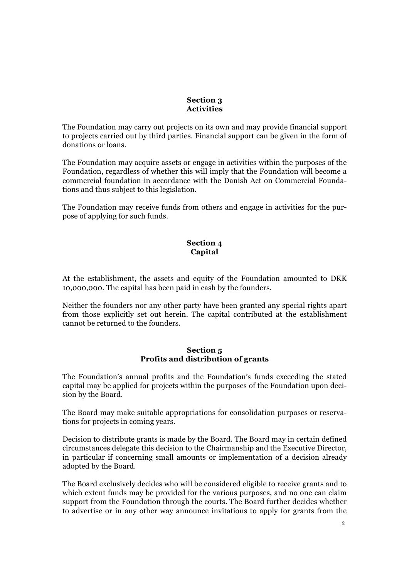# **Section 3 Activities**

The Foundation may carry out projects on its own and may provide financial support to projects carried out by third parties. Financial support can be given in the form of donations or loans.

The Foundation may acquire assets or engage in activities within the purposes of the Foundation, regardless of whether this will imply that the Foundation will become a commercial foundation in accordance with the Danish Act on Commercial Foundations and thus subject to this legislation.

The Foundation may receive funds from others and engage in activities for the purpose of applying for such funds.

# **Section 4 Capital**

At the establishment, the assets and equity of the Foundation amounted to DKK 10,000,000. The capital has been paid in cash by the founders.

Neither the founders nor any other party have been granted any special rights apart from those explicitly set out herein. The capital contributed at the establishment cannot be returned to the founders.

## **Section 5 Profits and distribution of grants**

The Foundation's annual profits and the Foundation's funds exceeding the stated capital may be applied for projects within the purposes of the Foundation upon decision by the Board.

The Board may make suitable appropriations for consolidation purposes or reservations for projects in coming years.

Decision to distribute grants is made by the Board. The Board may in certain defined circumstances delegate this decision to the Chairmanship and the Executive Director, in particular if concerning small amounts or implementation of a decision already adopted by the Board.

The Board exclusively decides who will be considered eligible to receive grants and to which extent funds may be provided for the various purposes, and no one can claim support from the Foundation through the courts. The Board further decides whether to advertise or in any other way announce invitations to apply for grants from the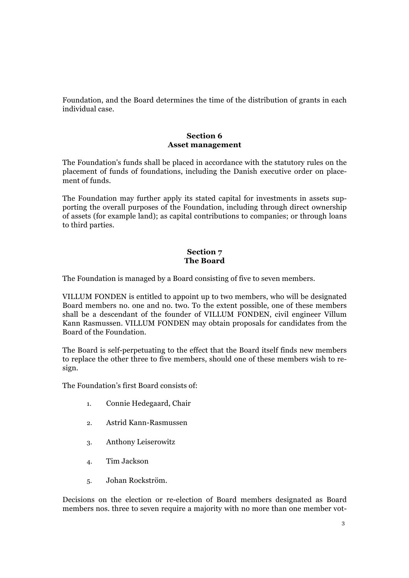Foundation, and the Board determines the time of the distribution of grants in each individual case.

#### **Section 6 Asset management**

The Foundation's funds shall be placed in accordance with the statutory rules on the placement of funds of foundations, including the Danish executive order on placement of funds.

The Foundation may further apply its stated capital for investments in assets supporting the overall purposes of the Foundation, including through direct ownership of assets (for example land); as capital contributions to companies; or through loans to third parties.

## **Section 7 The Board**

The Foundation is managed by a Board consisting of five to seven members.

VILLUM FONDEN is entitled to appoint up to two members, who will be designated Board members no. one and no. two. To the extent possible, one of these members shall be a descendant of the founder of VILLUM FONDEN, civil engineer Villum Kann Rasmussen. VILLUM FONDEN may obtain proposals for candidates from the Board of the Foundation.

The Board is self-perpetuating to the effect that the Board itself finds new members to replace the other three to five members, should one of these members wish to resign.

The Foundation's first Board consists of:

- 1. Connie Hedegaard, Chair
- 2. Astrid Kann-Rasmussen
- 3. Anthony Leiserowitz
- 4. Tim Jackson
- 5. Johan Rockström.

Decisions on the election or re-election of Board members designated as Board members nos. three to seven require a majority with no more than one member vot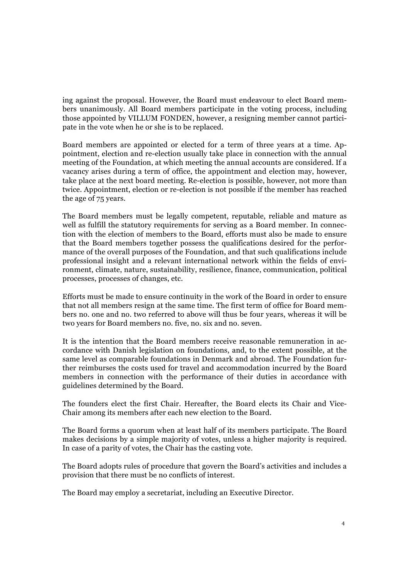ing against the proposal. However, the Board must endeavour to elect Board members unanimously. All Board members participate in the voting process, including those appointed by VILLUM FONDEN, however, a resigning member cannot participate in the vote when he or she is to be replaced.

Board members are appointed or elected for a term of three years at a time. Appointment, election and re-election usually take place in connection with the annual meeting of the Foundation, at which meeting the annual accounts are considered. If a vacancy arises during a term of office, the appointment and election may, however, take place at the next board meeting. Re-election is possible, however, not more than twice. Appointment, election or re-election is not possible if the member has reached the age of 75 years.

The Board members must be legally competent, reputable, reliable and mature as well as fulfill the statutory requirements for serving as a Board member. In connection with the election of members to the Board, efforts must also be made to ensure that the Board members together possess the qualifications desired for the performance of the overall purposes of the Foundation, and that such qualifications include professional insight and a relevant international network within the fields of environment, climate, nature, sustainability, resilience, finance, communication, political processes, processes of changes, etc.

Efforts must be made to ensure continuity in the work of the Board in order to ensure that not all members resign at the same time. The first term of office for Board members no. one and no. two referred to above will thus be four years, whereas it will be two years for Board members no. five, no. six and no. seven.

It is the intention that the Board members receive reasonable remuneration in accordance with Danish legislation on foundations, and, to the extent possible, at the same level as comparable foundations in Denmark and abroad. The Foundation further reimburses the costs used for travel and accommodation incurred by the Board members in connection with the performance of their duties in accordance with guidelines determined by the Board.

The founders elect the first Chair. Hereafter, the Board elects its Chair and Vice-Chair among its members after each new election to the Board.

The Board forms a quorum when at least half of its members participate. The Board makes decisions by a simple majority of votes, unless a higher majority is required. In case of a parity of votes, the Chair has the casting vote.

The Board adopts rules of procedure that govern the Board's activities and includes a provision that there must be no conflicts of interest.

The Board may employ a secretariat, including an Executive Director.